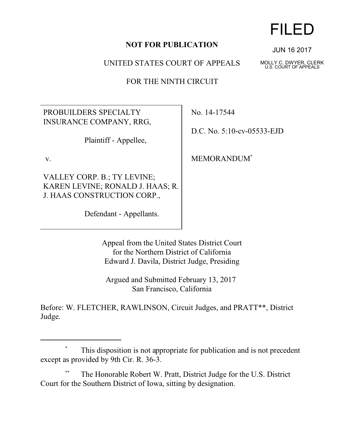## **NOT FOR PUBLICATION**

UNITED STATES COURT OF APPEALS

FOR THE NINTH CIRCUIT

PROBUILDERS SPECIALTY INSURANCE COMPANY, RRG,

Plaintiff - Appellee,

v.

VALLEY CORP. B.; TY LEVINE; KAREN LEVINE; RONALD J. HAAS; R. J. HAAS CONSTRUCTION CORP.,

Defendant - Appellants.

No. 14-17544

D.C. No. 5:10-cv-05533-EJD

MEMORANDUM\*

Appeal from the United States District Court for the Northern District of California Edward J. Davila, District Judge, Presiding

Argued and Submitted February 13, 2017 San Francisco, California

Before: W. FLETCHER, RAWLINSON, Circuit Judges, and PRATT\*\*, District Judge.

## FILED

JUN 16 2017

MOLLY C. DWYER, CLERK U.S. COURT OF APPEALS

 <sup>\*</sup> This disposition is not appropriate for publication and is not precedent except as provided by 9th Cir. R. 36-3.

 <sup>\*\*</sup> The Honorable Robert W. Pratt, District Judge for the U.S. District Court for the Southern District of Iowa, sitting by designation.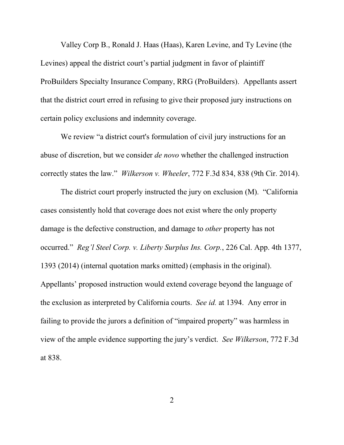Valley Corp B., Ronald J. Haas (Haas), Karen Levine, and Ty Levine (the Levines) appeal the district court's partial judgment in favor of plaintiff ProBuilders Specialty Insurance Company, RRG (ProBuilders). Appellants assert that the district court erred in refusing to give their proposed jury instructions on certain policy exclusions and indemnity coverage.

We review "a district court's formulation of civil jury instructions for an abuse of discretion, but we consider *de novo* whether the challenged instruction correctly states the law." *Wilkerson v. Wheeler*, 772 F.3d 834, 838 (9th Cir. 2014).

The district court properly instructed the jury on exclusion (M). "California cases consistently hold that coverage does not exist where the only property damage is the defective construction, and damage to *other* property has not occurred." *Reg'l Steel Corp. v. Liberty Surplus Ins. Corp.*, 226 Cal. App. 4th 1377, 1393 (2014) (internal quotation marks omitted) (emphasis in the original). Appellants' proposed instruction would extend coverage beyond the language of the exclusion as interpreted by California courts. *See id.* at 1394. Any error in failing to provide the jurors a definition of "impaired property" was harmless in view of the ample evidence supporting the jury's verdict. *See Wilkerson*, 772 F.3d at 838.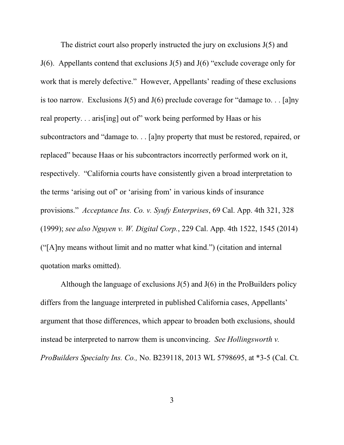The district court also properly instructed the jury on exclusions J(5) and J(6). Appellants contend that exclusions J(5) and J(6) "exclude coverage only for work that is merely defective." However, Appellants' reading of these exclusions is too narrow. Exclusions  $J(5)$  and  $J(6)$  preclude coverage for "damage to... [a]ny real property. . . aris[ing] out of" work being performed by Haas or his subcontractors and "damage to. . . [a]ny property that must be restored, repaired, or replaced" because Haas or his subcontractors incorrectly performed work on it, respectively. "California courts have consistently given a broad interpretation to the terms 'arising out of' or 'arising from' in various kinds of insurance provisions." *Acceptance Ins. Co. v. Syufy Enterprises*, 69 Cal. App. 4th 321, 328 (1999); *see also Nguyen v. W. Digital Corp.*, 229 Cal. App. 4th 1522, 1545 (2014) ("[A]ny means without limit and no matter what kind.") (citation and internal quotation marks omitted).

Although the language of exclusions  $J(5)$  and  $J(6)$  in the ProBuilders policy differs from the language interpreted in published California cases, Appellants' argument that those differences, which appear to broaden both exclusions, should instead be interpreted to narrow them is unconvincing. *See Hollingsworth v. ProBuilders Specialty Ins. Co.,* No. B239118, 2013 WL 5798695, at \*3-5 (Cal. Ct.